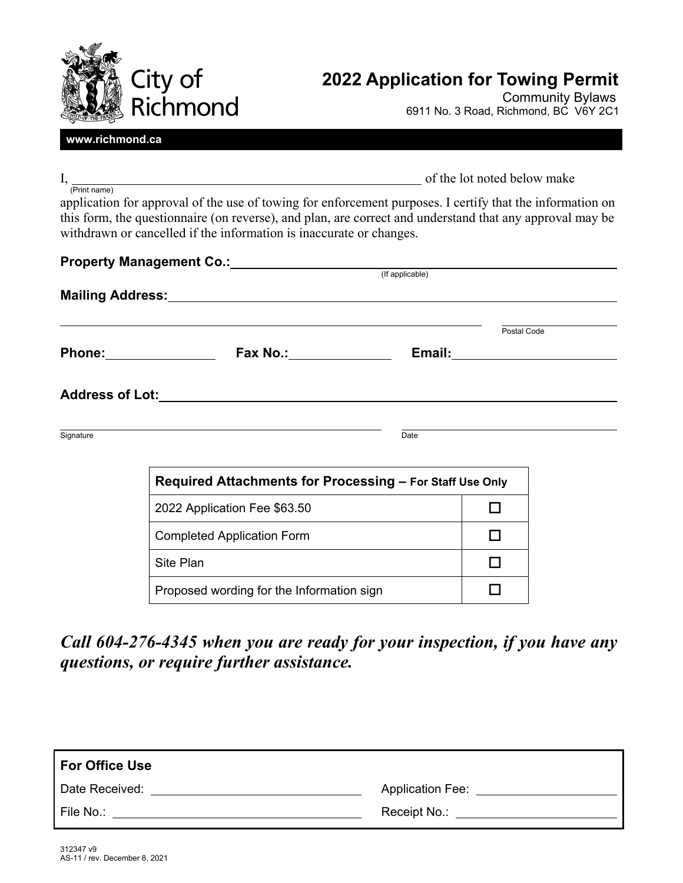

# **2022 Application for Towing Permit**

Community Bylaws 6911 No. 3 Road, Richmond, BC V6Y 2C1

#### **www.richmond.ca**

(Print name)

I, so the lot noted below make  $\sigma$ 

application for approval of the use of towing for enforcement purposes. I certify that the information on this form, the questionnaire (on reverse), and plan, are correct and understand that any approval may be withdrawn or cancelled if the information is inaccurate or changes.

|           | <b>Property Management Co.:</b> (If applicable)          |      |                                        |  |  |  |
|-----------|----------------------------------------------------------|------|----------------------------------------|--|--|--|
|           |                                                          |      |                                        |  |  |  |
|           | Fax No.: $\qquad \qquad$                                 |      | Postal Code<br>Email: <u>_________</u> |  |  |  |
|           | <b>Address of Lot:</b>                                   |      |                                        |  |  |  |
| Signature |                                                          | Date |                                        |  |  |  |
|           | Required Attachments for Processing - For Staff Use Only |      |                                        |  |  |  |
|           | 2022 Application Fee \$63.50                             |      |                                        |  |  |  |
|           | <b>Completed Application Form</b>                        |      |                                        |  |  |  |
|           | Site Plan                                                |      |                                        |  |  |  |
|           | Proposed wording for the Information sign                |      |                                        |  |  |  |

*Call 604-276-4345 when you are ready for your inspection, if you have any questions, or require further assistance.*

| For Office Use |                         |
|----------------|-------------------------|
| Date Received: | <b>Application Fee:</b> |
| File No.:      | Receipt No.:            |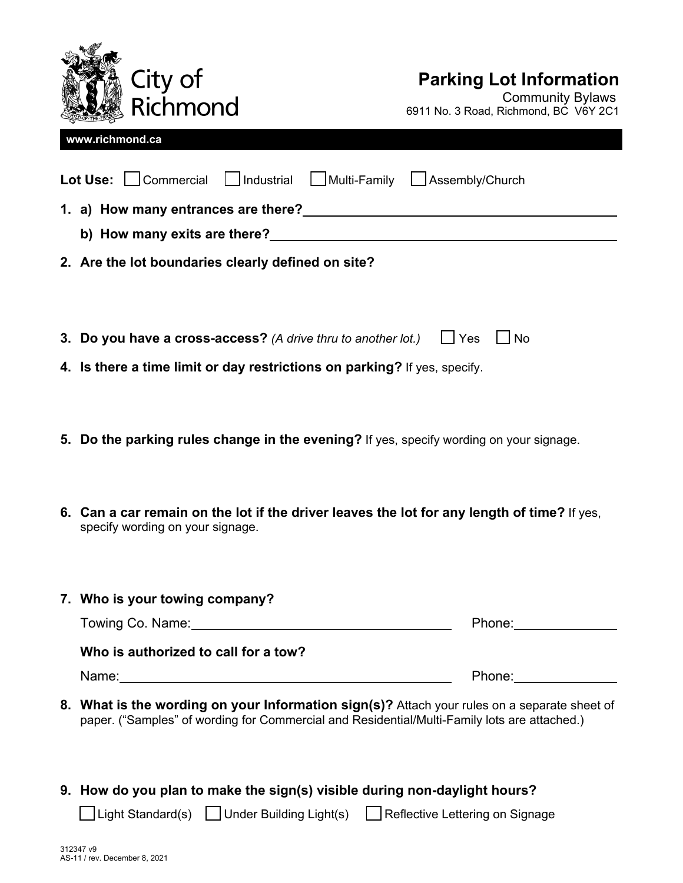

# **Parking Lot Information**

Community Bylaws 6911 No. 3 Road, Richmond, BC V6Y 2C1

| www.richmond.ca                                                                                                                                                                                                                |  |  |
|--------------------------------------------------------------------------------------------------------------------------------------------------------------------------------------------------------------------------------|--|--|
| Lot Use: Commercial   Industrial   Multi-Family   Assembly/Church                                                                                                                                                              |  |  |
|                                                                                                                                                                                                                                |  |  |
|                                                                                                                                                                                                                                |  |  |
| 2. Are the lot boundaries clearly defined on site?                                                                                                                                                                             |  |  |
|                                                                                                                                                                                                                                |  |  |
| 3. Do you have a cross-access? (A drive thru to another lot.)<br>$\Box$ Yes<br>No                                                                                                                                              |  |  |
| 4. Is there a time limit or day restrictions on parking? If yes, specify.                                                                                                                                                      |  |  |
|                                                                                                                                                                                                                                |  |  |
|                                                                                                                                                                                                                                |  |  |
| 5. Do the parking rules change in the evening? If yes, specify wording on your signage.                                                                                                                                        |  |  |
|                                                                                                                                                                                                                                |  |  |
| 6. Can a car remain on the lot if the driver leaves the lot for any length of time? If yes,                                                                                                                                    |  |  |
| specify wording on your signage.                                                                                                                                                                                               |  |  |
|                                                                                                                                                                                                                                |  |  |
| 7. Who is your towing company?                                                                                                                                                                                                 |  |  |
| Phone: ____________                                                                                                                                                                                                            |  |  |
| Who is authorized to call for a tow?                                                                                                                                                                                           |  |  |
| Phone: the contract of the contract of the contract of the contract of the contract of the contract of the contract of the contract of the contract of the contract of the contract of the contract of the contract of the con |  |  |
| 8. What is the wording on your Information sign(s)? Attach your rules on a separate sheet of                                                                                                                                   |  |  |
| paper. ("Samples" of wording for Commercial and Residential/Multi-Family lots are attached.)                                                                                                                                   |  |  |

**9. How do you plan to make the sign(s) visible during non-daylight hours?** 

□Light Standard(s) □Under Building Light(s) □Reflective Lettering on Signage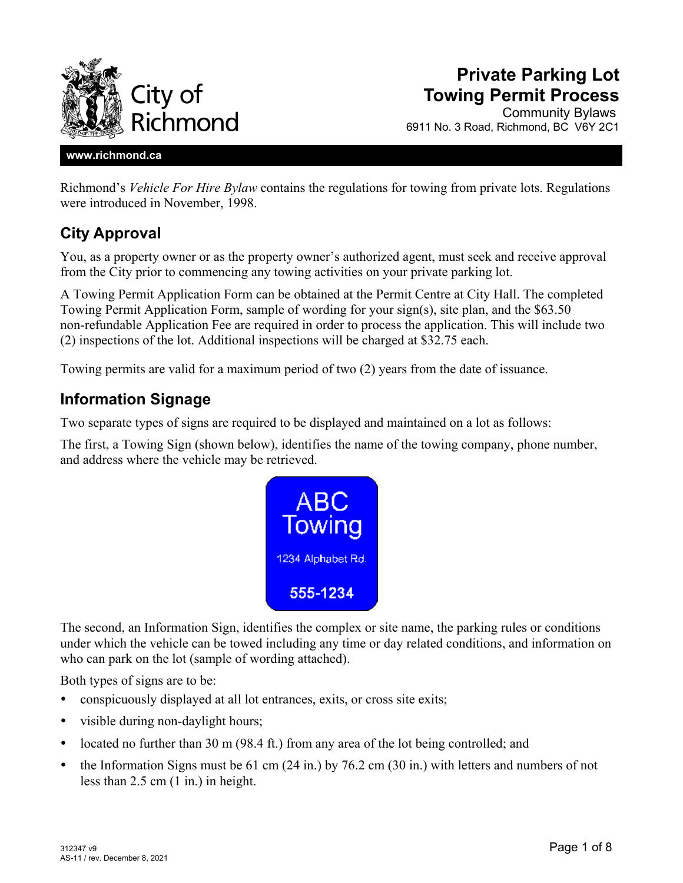

# **Private Parking Lot Towing Permit Process**

Community Bylaws 6911 No. 3 Road, Richmond, BC V6Y 2C1

#### **www.richmond.ca**

Richmond's *Vehicle For Hire Bylaw* contains the regulations for towing from private lots. Regulations were introduced in November, 1998.

### **City Approval**

You, as a property owner or as the property owner's authorized agent, must seek and receive approval from the City prior to commencing any towing activities on your private parking lot.

A Towing Permit Application Form can be obtained at the Permit Centre at City Hall. The completed Towing Permit Application Form, sample of wording for your sign(s), site plan, and the \$63.50 non-refundable Application Fee are required in order to process the application. This will include two (2) inspections of the lot. Additional inspections will be charged at \$32.75 each.

Towing permits are valid for a maximum period of two (2) years from the date of issuance.

### **Information Signage**

Two separate types of signs are required to be displayed and maintained on a lot as follows:

The first, a Towing Sign (shown below), identifies the name of the towing company, phone number, and address where the vehicle may be retrieved.



The second, an Information Sign, identifies the complex or site name, the parking rules or conditions under which the vehicle can be towed including any time or day related conditions, and information on who can park on the lot (sample of wording attached).

Both types of signs are to be:

- conspicuously displayed at all lot entrances, exits, or cross site exits;
- visible during non-daylight hours;
- located no further than  $30 \text{ m}$  (98.4 ft.) from any area of the lot being controlled; and
- the Information Signs must be 61 cm (24 in.) by 76.2 cm (30 in.) with letters and numbers of not less than 2.5 cm (1 in.) in height.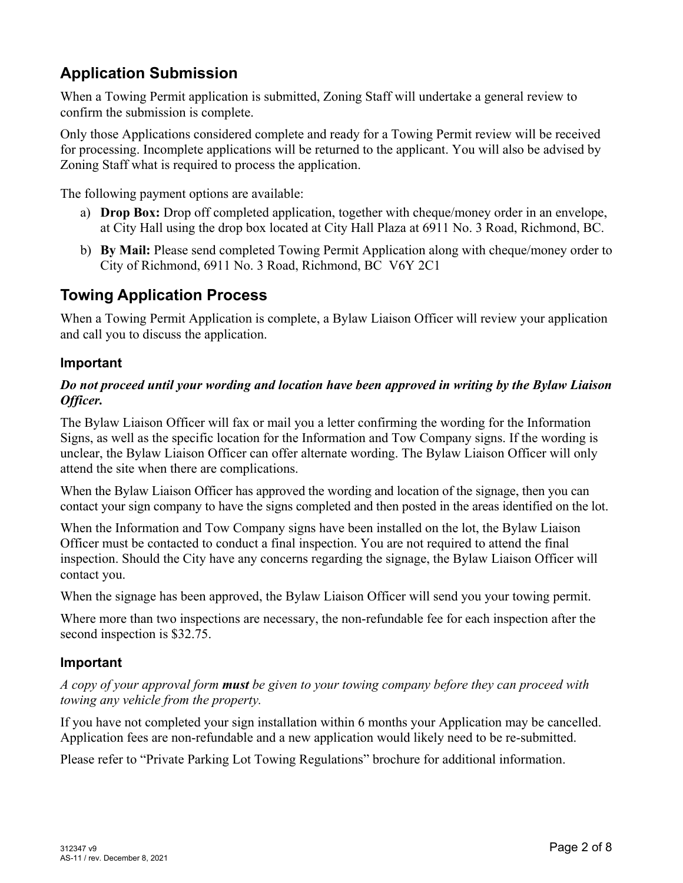## **Application Submission**

When a Towing Permit application is submitted, Zoning Staff will undertake a general review to confirm the submission is complete.

Only those Applications considered complete and ready for a Towing Permit review will be received for processing. Incomplete applications will be returned to the applicant. You will also be advised by Zoning Staff what is required to process the application.

The following payment options are available:

- a) **Drop Box:** Drop off completed application, together with cheque/money order in an envelope, at City Hall using the drop box located at City Hall Plaza at 6911 No. 3 Road, Richmond, BC.
- b) **By Mail:** Please send completed Towing Permit Application along with cheque/money order to City of Richmond, 6911 No. 3 Road, Richmond, BC V6Y 2C1

### **Towing Application Process**

When a Towing Permit Application is complete, a Bylaw Liaison Officer will review your application and call you to discuss the application.

### **Important**

#### *Do not proceed until your wording and location have been approved in writing by the Bylaw Liaison Officer.*

The Bylaw Liaison Officer will fax or mail you a letter confirming the wording for the Information Signs, as well as the specific location for the Information and Tow Company signs. If the wording is unclear, the Bylaw Liaison Officer can offer alternate wording. The Bylaw Liaison Officer will only attend the site when there are complications.

When the Bylaw Liaison Officer has approved the wording and location of the signage, then you can contact your sign company to have the signs completed and then posted in the areas identified on the lot.

When the Information and Tow Company signs have been installed on the lot, the Bylaw Liaison Officer must be contacted to conduct a final inspection. You are not required to attend the final inspection. Should the City have any concerns regarding the signage, the Bylaw Liaison Officer will contact you.

When the signage has been approved, the Bylaw Liaison Officer will send you your towing permit.

Where more than two inspections are necessary, the non-refundable fee for each inspection after the second inspection is \$32.75.

### **Important**

*A copy of your approval form must be given to your towing company before they can proceed with towing any vehicle from the property.* 

If you have not completed your sign installation within 6 months your Application may be cancelled. Application fees are non-refundable and a new application would likely need to be re-submitted.

Please refer to "Private Parking Lot Towing Regulations" brochure for additional information.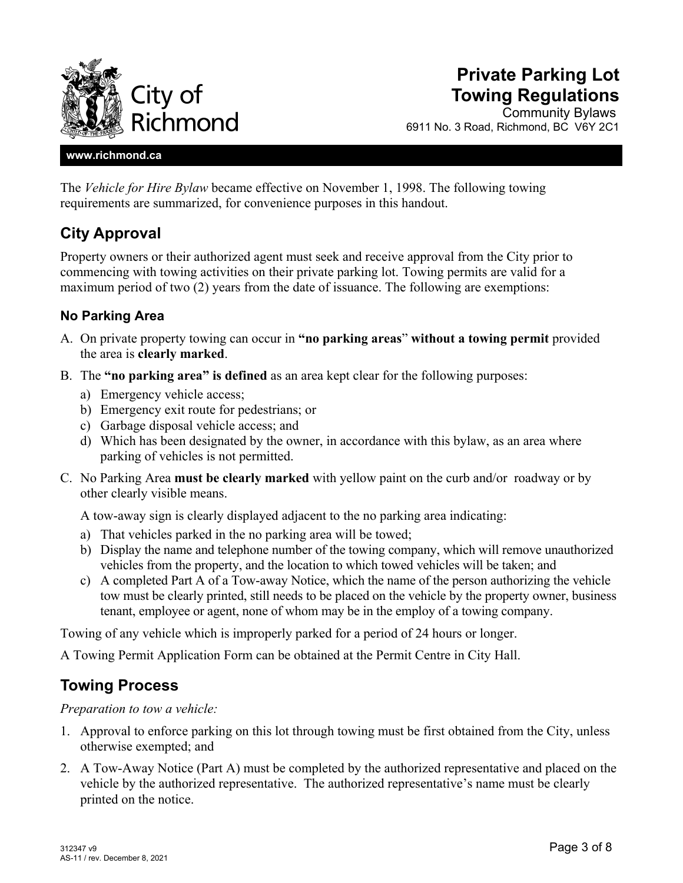

## **Private Parking Lot Towing Regulations**

Community Bylaws 6911 No. 3 Road, Richmond, BC V6Y 2C1

#### **www.richmond.ca**

The *Vehicle for Hire Bylaw* became effective on November 1, 1998. The following towing requirements are summarized, for convenience purposes in this handout.

### **City Approval**

Property owners or their authorized agent must seek and receive approval from the City prior to commencing with towing activities on their private parking lot. Towing permits are valid for a maximum period of two (2) years from the date of issuance. The following are exemptions:

#### **No Parking Area**

- A. On private property towing can occur in **"no parking areas**" **without a towing permit** provided the area is **clearly marked**.
- B. The **"no parking area" is defined** as an area kept clear for the following purposes:
	- a) Emergency vehicle access;
	- b) Emergency exit route for pedestrians; or
	- c) Garbage disposal vehicle access; and
	- d) Which has been designated by the owner, in accordance with this bylaw, as an area where parking of vehicles is not permitted.
- C. No Parking Area **must be clearly marked** with yellow paint on the curb and/or roadway or by other clearly visible means.

A tow-away sign is clearly displayed adjacent to the no parking area indicating:

- a) That vehicles parked in the no parking area will be towed;
- b) Display the name and telephone number of the towing company, which will remove unauthorized vehicles from the property, and the location to which towed vehicles will be taken; and
- c) A completed Part A of a Tow-away Notice, which the name of the person authorizing the vehicle tow must be clearly printed, still needs to be placed on the vehicle by the property owner, business tenant, employee or agent, none of whom may be in the employ of a towing company.

Towing of any vehicle which is improperly parked for a period of 24 hours or longer.

A Towing Permit Application Form can be obtained at the Permit Centre in City Hall.

### **Towing Process**

*Preparation to tow a vehicle:* 

- 1. Approval to enforce parking on this lot through towing must be first obtained from the City, unless otherwise exempted; and
- 2. A Tow-Away Notice (Part A) must be completed by the authorized representative and placed on the vehicle by the authorized representative. The authorized representative's name must be clearly printed on the notice.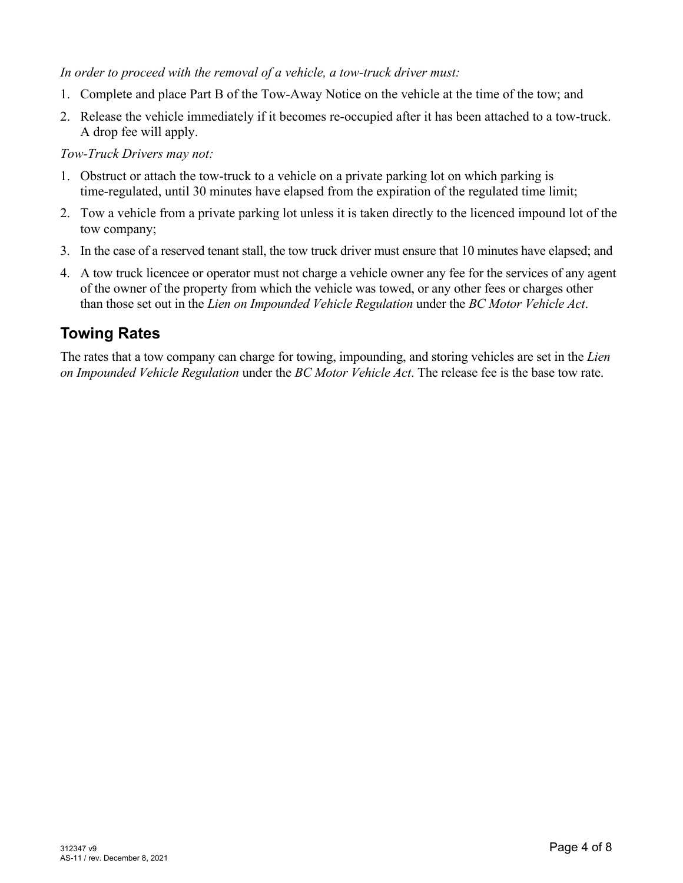#### *In order to proceed with the removal of a vehicle, a tow-truck driver must:*

- 1. Complete and place Part B of the Tow-Away Notice on the vehicle at the time of the tow; and
- 2. Release the vehicle immediately if it becomes re-occupied after it has been attached to a tow-truck. A drop fee will apply.

*Tow-Truck Drivers may not:* 

- 1. Obstruct or attach the tow-truck to a vehicle on a private parking lot on which parking is time-regulated, until 30 minutes have elapsed from the expiration of the regulated time limit;
- 2. Tow a vehicle from a private parking lot unless it is taken directly to the licenced impound lot of the tow company;
- 3. In the case of a reserved tenant stall, the tow truck driver must ensure that 10 minutes have elapsed; and
- 4. A tow truck licencee or operator must not charge a vehicle owner any fee for the services of any agent of the owner of the property from which the vehicle was towed, or any other fees or charges other than those set out in the *Lien on Impounded Vehicle Regulation* under the *BC Motor Vehicle Act*.

### **Towing Rates**

The rates that a tow company can charge for towing, impounding, and storing vehicles are set in the *Lien on Impounded Vehicle Regulation* under the *BC Motor Vehicle Act*. The release fee is the base tow rate.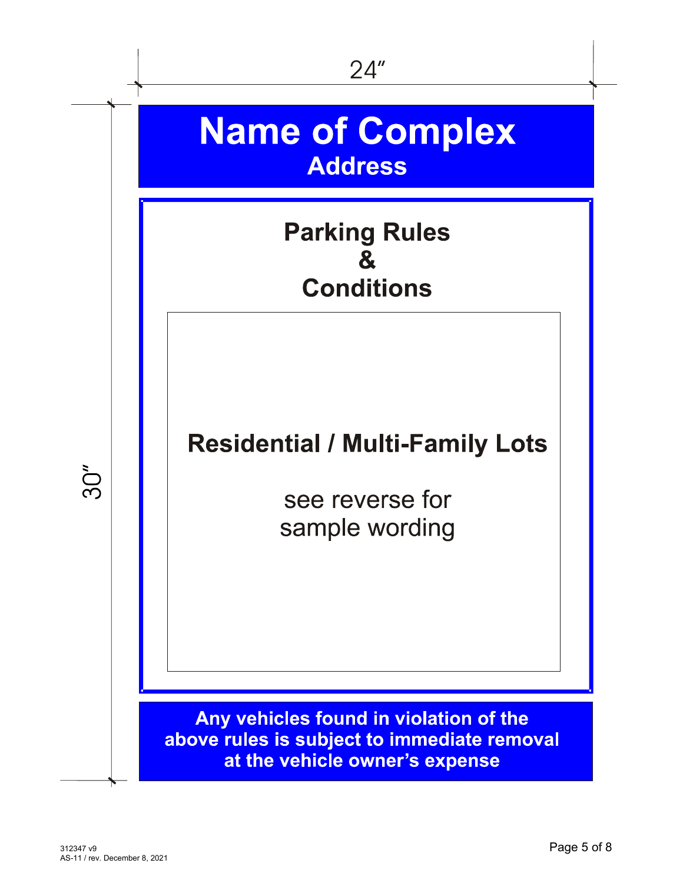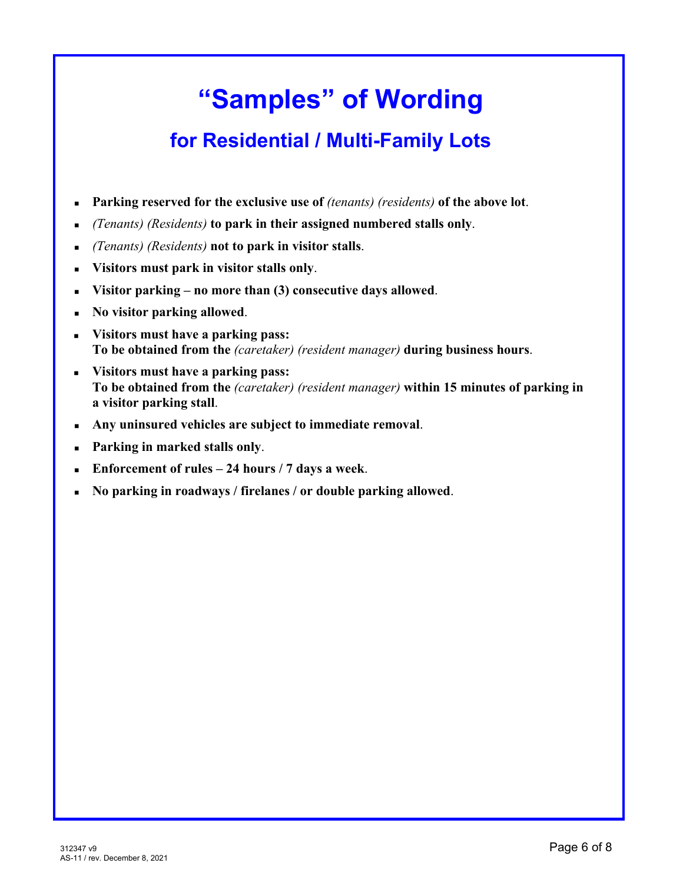# **"Samples" of Wording**

# **for Residential / Multi-Family Lots**

- **Parking reserved for the exclusive use of** *(tenants) (residents)* **of the above lot**.
- *(Tenants) (Residents)* **to park in their assigned numbered stalls only**.
- *(Tenants) (Residents)* **not to park in visitor stalls**.
- **Visitors must park in visitor stalls only**.
- **Visitor parking no more than (3) consecutive days allowed**.
- **No visitor parking allowed**.
- **Visitors must have a parking pass: To be obtained from the** *(caretaker) (resident manager)* **during business hours**.
- **Visitors must have a parking pass: To be obtained from the** *(caretaker) (resident manager)* **within 15 minutes of parking in a visitor parking stall**.
- **Any uninsured vehicles are subject to immediate removal**.
- **Parking in marked stalls only**.
- **Enforcement of rules 24 hours / 7 days a week**.
- **No parking in roadways / firelanes / or double parking allowed**.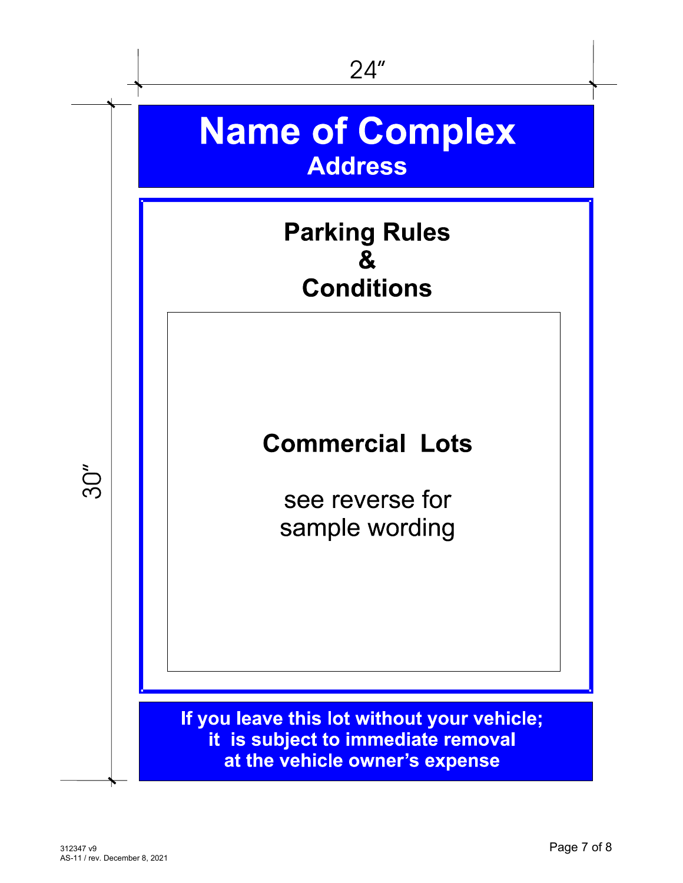